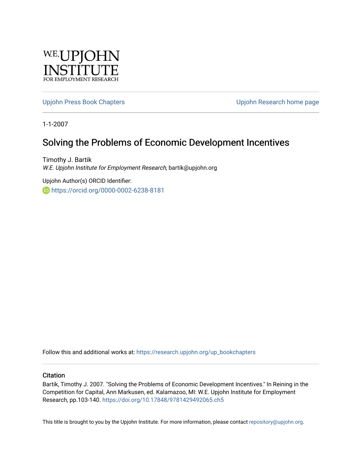

[Upjohn Press Book Chapters](https://research.upjohn.org/up_bookchapters) [Upjohn Research home page](https://research.upjohn.org/) 

1-1-2007

## Solving the Problems of Economic Development Incentives

Timothy J. Bartik W.E. Upjohn Institute for Employment Research, bartik@upjohn.org

Upjohn Author(s) ORCID Identifier: **b** https://orcid.org/0000-0002-6238-8181

Follow this and additional works at: [https://research.upjohn.org/up\\_bookchapters](https://research.upjohn.org/up_bookchapters?utm_source=research.upjohn.org%2Fup_bookchapters%2F240&utm_medium=PDF&utm_campaign=PDFCoverPages) 

**Citation** 

Bartik, Timothy J. 2007. "Solving the Problems of Economic Development Incentives." In Reining in the Competition for Capital, Ann Markusen, ed. Kalamazoo, MI: W.E. Upjohn Institute for Employment Research, pp.103-140.<https://doi.org/10.17848/9781429492065.ch5>

This title is brought to you by the Upjohn Institute. For more information, please contact [repository@upjohn.org](mailto:repository@upjohn.org).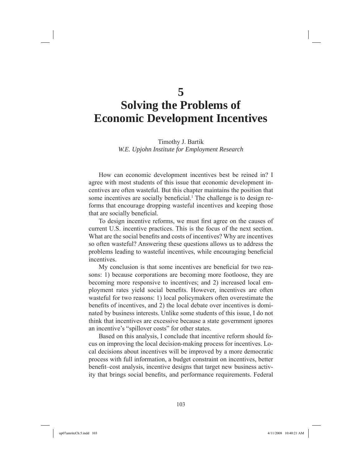## **Solving the Problems of Economic Development Incentives**

## Timothy J. Bartik *W.E. Upjohn Institute for Employment Research*

How can economic development incentives best be reined in? I agree with most students of this issue that economic development incentives are often wasteful. But this chapter maintains the position that some incentives are socially beneficial.<sup>1</sup> The challenge is to design reforms that encourage dropping wasteful incentives and keeping those that are socially beneficial.

To design incentive reforms, we must first agree on the causes of current U.S. incentive practices. This is the focus of the next section. What are the social benefits and costs of incentives? Why are incentives so often wasteful? Answering these questions allows us to address the problems leading to wasteful incentives, while encouraging beneficial incentives.

My conclusion is that some incentives are beneficial for two reasons: 1) because corporations are becoming more footloose, they are becoming more responsive to incentives; and 2) increased local employment rates yield social benefits. However, incentives are often wasteful for two reasons: 1) local policymakers often overestimate the benefits of incentives, and 2) the local debate over incentives is dominated by business interests. Unlike some students of this issue, I do not think that incentives are excessive because a state government ignores an incentive's "spillover costs" for other states.

Based on this analysis, I conclude that incentive reform should focus on improving the local decision-making process for incentives. Local decisions about incentives will be improved by a more democratic process with full information, a budget constraint on incentives, better benefit–cost analysis, incentive designs that target new business activity that brings social benefits, and performance requirements. Federal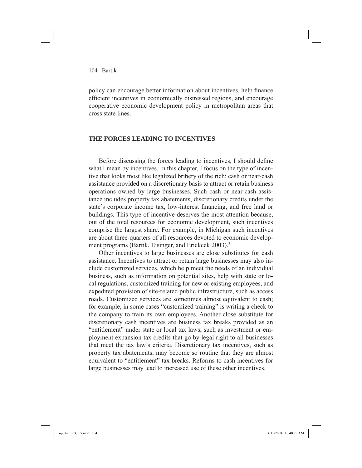policy can encourage better information about incentives, help finance efficient incentives in economically distressed regions, and encourage cooperative economic development policy in metropolitan areas that cross state lines.

## **THE FORCES LEADING TO INCENTIVES**

Before discussing the forces leading to incentives, I should define what I mean by incentives. In this chapter, I focus on the type of incentive that looks most like legalized bribery of the rich: cash or near-cash assistance provided on a discretionary basis to attract or retain business operations owned by large businesses. Such cash or near-cash assistance includes property tax abatements, discretionary credits under the state's corporate income tax, low-interest financing, and free land or buildings. This type of incentive deserves the most attention because, out of the total resources for economic development, such incentives comprise the largest share. For example, in Michigan such incentives are about three-quarters of all resources devoted to economic development programs (Bartik, Eisinger, and Erickcek 2003).<sup>2</sup>

Other incentives to large businesses are close substitutes for cash assistance. Incentives to attract or retain large businesses may also include customized services, which help meet the needs of an individual business, such as information on potential sites, help with state or local regulations, customized training for new or existing employees, and expedited provision of site-related public infrastructure, such as access roads. Customized services are sometimes almost equivalent to cash; for example, in some cases "customized training" is writing a check to the company to train its own employees. Another close substitute for discretionary cash incentives are business tax breaks provided as an "entitlement" under state or local tax laws, such as investment or employment expansion tax credits that go by legal right to all businesses that meet the tax law's criteria. Discretionary tax incentives, such as property tax abatements, may become so routine that they are almost equivalent to "entitlement" tax breaks. Reforms to cash incentives for large businesses may lead to increased use of these other incentives.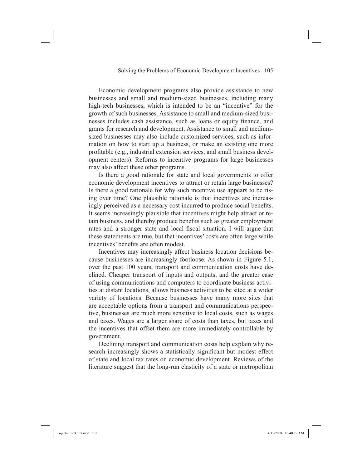Economic development programs also provide assistance to new businesses and small and medium-sized businesses, including many high-tech businesses, which is intended to be an "incentive" for the growth of such businesses. Assistance to small and medium-sized businesses includes cash assistance, such as loans or equity finance, and grants for research and development. Assistance to small and mediumsized businesses may also include customized services, such as information on how to start up a business, or make an existing one more profitable (e.g., industrial extension services, and small business development centers). Reforms to incentive programs for large businesses may also affect these other programs.

Is there a good rationale for state and local governments to offer economic development incentives to attract or retain large businesses? Is there a good rationale for why such incentive use appears to be rising over time? One plausible rationale is that incentives are increasingly perceived as a necessary cost incurred to produce social benefits. It seems increasingly plausible that incentives might help attract or retain business, and thereby produce benefits such as greater employment rates and a stronger state and local fiscal situation. I will argue that these statements are true, but that incentives' costs are often large while incentives' benefits are often modest.

Incentives may increasingly affect business location decisions because businesses are increasingly footloose. As shown in Figure 5.1, over the past 100 years, transport and communication costs have declined. Cheaper transport of inputs and outputs, and the greater ease of using communications and computers to coordinate business activities at distant locations, allows business activities to be sited at a wider variety of locations. Because businesses have many more sites that are acceptable options from a transport and communications perspective, businesses are much more sensitive to local costs, such as wages and taxes. Wages are a larger share of costs than taxes, but taxes and the incentives that offset them are more immediately controllable by government.

Declining transport and communication costs help explain why research increasingly shows a statistically significant but modest effect of state and local tax rates on economic development. Reviews of the literature suggest that the long-run elasticity of a state or metropolitan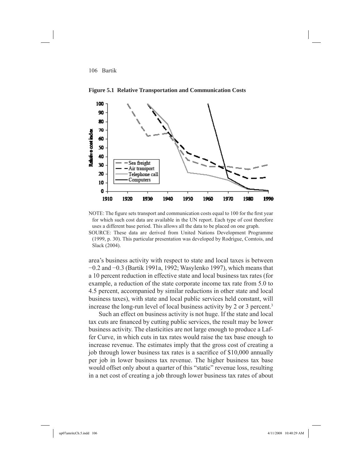

**Figure 5.1 Relative Transportation and Communication Costs**

NOTE: The figure sets transport and communication costs equal to 100 for the first year for which such cost data are available in the UN report. Each type of cost therefore uses a different base period. This allows all the data to be placed on one graph.

SOURCE: These data are derived from United Nations Development Programme (1999, p. 30). This particular presentation was developed by Rodrigue, Comtois, and Slack (2004).

area's business activity with respect to state and local taxes is between −0.2 and −0.3 (Bartik 1991a, 1992; Wasylenko 1997), which means that a 10 percent reduction in effective state and local business tax rates (for example, a reduction of the state corporate income tax rate from 5.0 to 4.5 percent, accompanied by similar reductions in other state and local business taxes), with state and local public services held constant, will increase the long-run level of local business activity by 2 or 3 percent.<sup>3</sup>

Such an effect on business activity is not huge. If the state and local tax cuts are financed by cutting public services, the result may be lower business activity. The elasticities are not large enough to produce a Laffer Curve, in which cuts in tax rates would raise the tax base enough to increase revenue. The estimates imply that the gross cost of creating a job through lower business tax rates is a sacrifice of \$10,000 annually per job in lower business tax revenue. The higher business tax base would offset only about a quarter of this "static" revenue loss, resulting in a net cost of creating a job through lower business tax rates of about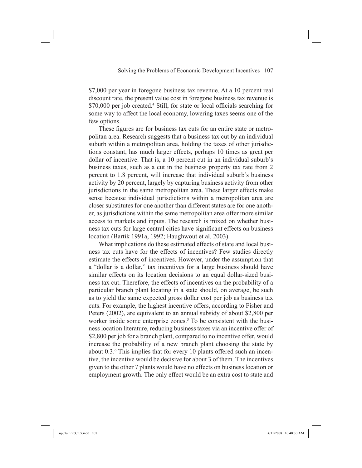\$7,000 per year in foregone business tax revenue. At a 10 percent real discount rate, the present value cost in foregone business tax revenue is \$70,000 per job created.<sup>4</sup> Still, for state or local officials searching for some way to affect the local economy, lowering taxes seems one of the few options.

These figures are for business tax cuts for an entire state or metropolitan area. Research suggests that a business tax cut by an individual suburb within a metropolitan area, holding the taxes of other jurisdictions constant, has much larger effects, perhaps 10 times as great per dollar of incentive. That is, a 10 percent cut in an individual suburb's business taxes, such as a cut in the business property tax rate from 2 percent to 1.8 percent, will increase that individual suburb's business activity by 20 percent, largely by capturing business activity from other jurisdictions in the same metropolitan area. These larger effects make sense because individual jurisdictions within a metropolitan area are closer substitutes for one another than different states are for one another, as jurisdictions within the same metropolitan area offer more similar access to markets and inputs. The research is mixed on whether business tax cuts for large central cities have significant effects on business location (Bartik 1991a, 1992; Haughwout et al. 2003).

What implications do these estimated effects of state and local business tax cuts have for the effects of incentives? Few studies directly estimate the effects of incentives. However, under the assumption that a "dollar is a dollar," tax incentives for a large business should have similar effects on its location decisions to an equal dollar-sized business tax cut. Therefore, the effects of incentives on the probability of a particular branch plant locating in a state should, on average, be such as to yield the same expected gross dollar cost per job as business tax cuts. For example, the highest incentive offers, according to Fisher and Peters (2002), are equivalent to an annual subsidy of about \$2,800 per worker inside some enterprise zones.<sup>5</sup> To be consistent with the business location literature, reducing business taxes via an incentive offer of \$2,800 per job for a branch plant, compared to no incentive offer, would increase the probability of a new branch plant choosing the state by about 0.3.<sup>6</sup> This implies that for every 10 plants offered such an incentive, the incentive would be decisive for about 3 of them. The incentives given to the other 7 plants would have no effects on business location or employment growth. The only effect would be an extra cost to state and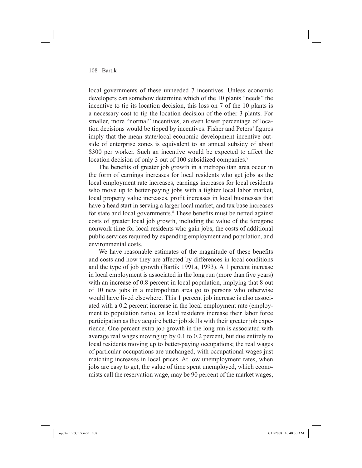local governments of these unneeded 7 incentives. Unless economic developers can somehow determine which of the 10 plants "needs" the incentive to tip its location decision, this loss on 7 of the 10 plants is a necessary cost to tip the location decision of the other 3 plants. For smaller, more "normal" incentives, an even lower percentage of location decisions would be tipped by incentives. Fisher and Peters' figures imply that the mean state/local economic development incentive outside of enterprise zones is equivalent to an annual subsidy of about \$300 per worker. Such an incentive would be expected to affect the location decision of only 3 out of 100 subsidized companies.<sup>7</sup>

The benefits of greater job growth in a metropolitan area occur in the form of earnings increases for local residents who get jobs as the local employment rate increases, earnings increases for local residents who move up to better-paying jobs with a tighter local labor market, local property value increases, profit increases in local businesses that have a head start in serving a larger local market, and tax base increases for state and local governments.<sup>8</sup> These benefits must be netted against costs of greater local job growth, including the value of the foregone nonwork time for local residents who gain jobs, the costs of additional public services required by expanding employment and population, and environmental costs.

We have reasonable estimates of the magnitude of these benefits and costs and how they are affected by differences in local conditions and the type of job growth (Bartik 1991a, 1993). A 1 percent increase in local employment is associated in the long run (more than five years) with an increase of 0.8 percent in local population, implying that 8 out of 10 new jobs in a metropolitan area go to persons who otherwise would have lived elsewhere. This 1 percent job increase is also associated with a 0.2 percent increase in the local employment rate (employment to population ratio), as local residents increase their labor force participation as they acquire better job skills with their greater job experience. One percent extra job growth in the long run is associated with average real wages moving up by 0.1 to 0.2 percent, but due entirely to local residents moving up to better-paying occupations; the real wages of particular occupations are unchanged, with occupational wages just matching increases in local prices. At low unemployment rates, when jobs are easy to get, the value of time spent unemployed, which economists call the reservation wage, may be 90 percent of the market wages,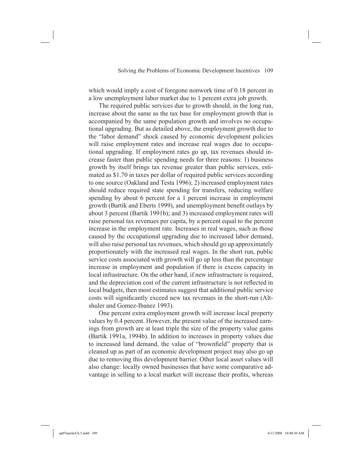which would imply a cost of foregone nonwork time of 0.18 percent in a low unemployment labor market due to 1 percent extra job growth.

The required public services due to growth should, in the long run, increase about the same as the tax base for employment growth that is accompanied by the same population growth and involves no occupational upgrading. But as detailed above, the employment growth due to the "labor demand" shock caused by economic development policies will raise employment rates and increase real wages due to occupational upgrading. If employment rates go up, tax revenues should increase faster than public spending needs for three reasons: 1) business growth by itself brings tax revenue greater than public services, estimated as \$1.70 in taxes per dollar of required public services according to one source (Oakland and Testa 1996); 2) increased employment rates should reduce required state spending for transfers, reducing welfare spending by about 6 percent for a 1 percent increase in employment growth (Bartik and Eberts 1999), and unemployment benefit outlays by about 3 percent (Bartik 1991b); and 3) increased employment rates will raise personal tax revenues per capita, by a percent equal to the percent increase in the employment rate. Increases in real wages, such as those caused by the occupational upgrading due to increased labor demand, will also raise personal tax revenues, which should go up approximately proportionately with the increased real wages. In the short run, public service costs associated with growth will go up less than the percentage increase in employment and population if there is excess capacity in local infrastructure. On the other hand, if new infrastructure is required, and the depreciation cost of the current infrastructure is not reflected in local budgets, then most estimates suggest that additional public service costs will significantly exceed new tax revenues in the short-run (Altshuler and Gomez-Ibanez 1993).

One percent extra employment growth will increase local property values by 0.4 percent. However, the present value of the increased earnings from growth are at least triple the size of the property value gains (Bartik 1991a, 1994b). In addition to increases in property values due to increased land demand, the value of "brownfield" property that is cleaned up as part of an economic development project may also go up due to removing this development barrier. Other local asset values will also change: locally owned businesses that have some comparative advantage in selling to a local market will increase their profits, whereas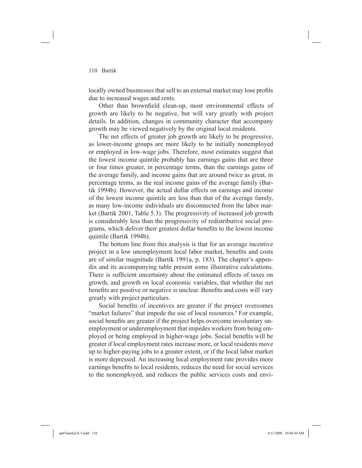locally owned businesses that sell to an external market may lose profits due to increased wages and rents.

Other than brownfield clean-up, most environmental effects of growth are likely to be negative, but will vary greatly with project details. In addition, changes in community character that accompany growth may be viewed negatively by the original local residents.

The net effects of greater job growth are likely to be progressive, as lower-income groups are more likely to be initially nonemployed or employed in low-wage jobs. Therefore, most estimates suggest that the lowest income quintile probably has earnings gains that are three or four times greater, in percentage terms, than the earnings gains of the average family, and income gains that are around twice as great, in percentage terms, as the real income gains of the average family (Bartik 1994b). However, the actual dollar effects on earnings and income of the lowest income quintile are less than that of the average family, as many low-income individuals are disconnected from the labor market (Bartik 2001, Table 5.3). The progressivity of increased job growth is considerably less than the progressivity of redistributive social programs, which deliver their greatest dollar benefits to the lowest income quintile (Bartik 1994b).

The bottom line from this analysis is that for an average incentive project in a low unemployment local labor market, benefits and costs are of similar magnitude (Bartik 1991a, p. 183). The chapter's appendix and its accompanying table present some illustrative calculations. There is sufficient uncertainty about the estimated effects of taxes on growth, and growth on local economic variables, that whether the net benefits are positive or negative is unclear. Benefits and costs will vary greatly with project particulars.

Social benefits of incentives are greater if the project overcomes "market failures" that impede the use of local resources.<sup>9</sup> For example, social benefits are greater if the project helps overcome involuntary unemployment or underemployment that impedes workers from being employed or being employed in higher-wage jobs. Social benefits will be greater if local employment rates increase more, or local residents move up to higher-paying jobs to a greater extent, or if the local labor market is more depressed. An increasing local employment rate provides more earnings benefits to local residents, reduces the need for social services to the nonemployed, and reduces the public services costs and envi-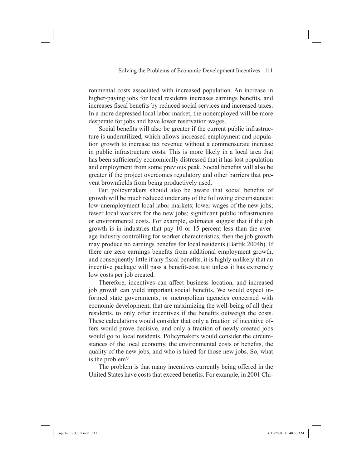ronmental costs associated with increased population. An increase in higher-paying jobs for local residents increases earnings benefits, and increases fiscal benefits by reduced social services and increased taxes. In a more depressed local labor market, the nonemployed will be more desperate for jobs and have lower reservation wages.

Social benefits will also be greater if the current public infrastructure is underutilized, which allows increased employment and population growth to increase tax revenue without a commensurate increase in public infrastructure costs. This is more likely in a local area that has been sufficiently economically distressed that it has lost population and employment from some previous peak. Social benefits will also be greater if the project overcomes regulatory and other barriers that prevent brownfields from being productively used.

But policymakers should also be aware that social benefits of growth will be much reduced under any of the following circumstances: low-unemployment local labor markets; lower wages of the new jobs; fewer local workers for the new jobs; significant public infrastructure or environmental costs. For example, estimates suggest that if the job growth is in industries that pay 10 or 15 percent less than the average industry controlling for worker characteristics, then the job growth may produce no earnings benefits for local residents (Bartik 2004b). If there are zero earnings benefits from additional employment growth, and consequently little if any fiscal benefits, it is highly unlikely that an incentive package will pass a benefit-cost test unless it has extremely low costs per job created.

Therefore, incentives can affect business location, and increased job growth can yield important social benefits. We would expect informed state governments, or metropolitan agencies concerned with economic development, that are maximizing the well-being of all their residents, to only offer incentives if the benefits outweigh the costs. These calculations would consider that only a fraction of incentive offers would prove decisive, and only a fraction of newly created jobs would go to local residents. Policymakers would consider the circumstances of the local economy, the environmental costs or benefits, the quality of the new jobs, and who is hired for those new jobs. So, what is the problem?

The problem is that many incentives currently being offered in the United States have costs that exceed benefits. For example, in 2001 Chi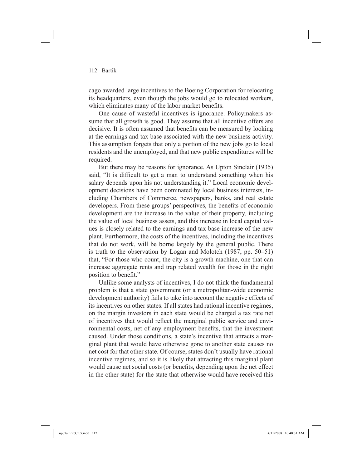cago awarded large incentives to the Boeing Corporation for relocating its headquarters, even though the jobs would go to relocated workers, which eliminates many of the labor market benefits.

One cause of wasteful incentives is ignorance. Policymakers assume that all growth is good. They assume that all incentive offers are decisive. It is often assumed that benefits can be measured by looking at the earnings and tax base associated with the new business activity. This assumption forgets that only a portion of the new jobs go to local residents and the unemployed, and that new public expenditures will be required.

But there may be reasons for ignorance. As Upton Sinclair (1935) said, "It is difficult to get a man to understand something when his salary depends upon his not understanding it." Local economic development decisions have been dominated by local business interests, including Chambers of Commerce, newspapers, banks, and real estate developers. From these groups' perspectives, the benefits of economic development are the increase in the value of their property, including the value of local business assets, and this increase in local capital values is closely related to the earnings and tax base increase of the new plant. Furthermore, the costs of the incentives, including the incentives that do not work, will be borne largely by the general public. There is truth to the observation by Logan and Molotch (1987, pp. 50–51) that, "For those who count, the city is a growth machine, one that can increase aggregate rents and trap related wealth for those in the right position to benefit."

Unlike some analysts of incentives, I do not think the fundamental problem is that a state government (or a metropolitan-wide economic development authority) fails to take into account the negative effects of its incentives on other states. If all states had rational incentive regimes, on the margin investors in each state would be charged a tax rate net of incentives that would reflect the marginal public service and environmental costs, net of any employment benefits, that the investment caused. Under those conditions, a state's incentive that attracts a marginal plant that would have otherwise gone to another state causes no net cost for that other state. Of course, states don't usually have rational incentive regimes, and so it is likely that attracting this marginal plant would cause net social costs (or benefits, depending upon the net effect in the other state) for the state that otherwise would have received this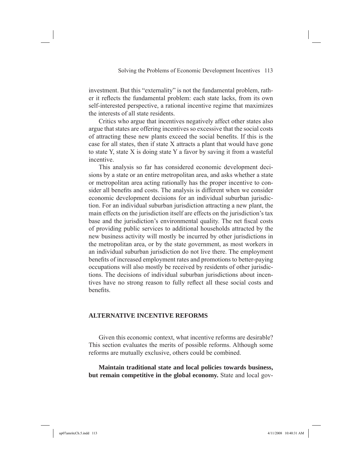investment. But this "externality" is not the fundamental problem, rather it reflects the fundamental problem: each state lacks, from its own self-interested perspective, a rational incentive regime that maximizes the interests of all state residents.

Critics who argue that incentives negatively affect other states also argue that states are offering incentives so excessive that the social costs of attracting these new plants exceed the social benefits. If this is the case for all states, then if state X attracts a plant that would have gone to state Y, state X is doing state Y a favor by saving it from a wasteful incentive.

This analysis so far has considered economic development decisions by a state or an entire metropolitan area, and asks whether a state or metropolitan area acting rationally has the proper incentive to consider all benefits and costs. The analysis is different when we consider economic development decisions for an individual suburban jurisdiction. For an individual suburban jurisdiction attracting a new plant, the main effects on the jurisdiction itself are effects on the jurisdiction's tax base and the jurisdiction's environmental quality. The net fiscal costs of providing public services to additional households attracted by the new business activity will mostly be incurred by other jurisdictions in the metropolitan area, or by the state government, as most workers in an individual suburban jurisdiction do not live there. The employment benefits of increased employment rates and promotions to better-paying occupations will also mostly be received by residents of other jurisdictions. The decisions of individual suburban jurisdictions about incentives have no strong reason to fully reflect all these social costs and benefits.

## **ALTERNATIVE INCENTIVE REFORMS**

Given this economic context, what incentive reforms are desirable? This section evaluates the merits of possible reforms. Although some reforms are mutually exclusive, others could be combined.

**Maintain traditional state and local policies towards business, but remain competitive in the global economy.** State and local gov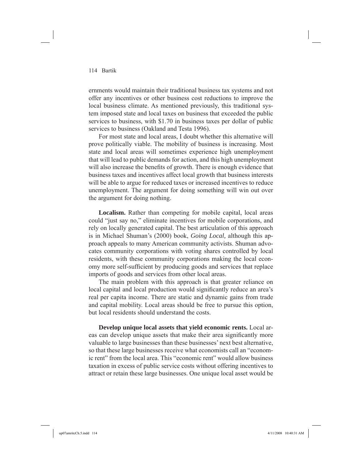ernments would maintain their traditional business tax systems and not offer any incentives or other business cost reductions to improve the local business climate. As mentioned previously, this traditional system imposed state and local taxes on business that exceeded the public services to business, with \$1.70 in business taxes per dollar of public services to business (Oakland and Testa 1996).

For most state and local areas, I doubt whether this alternative will prove politically viable. The mobility of business is increasing. Most state and local areas will sometimes experience high unemployment that will lead to public demands for action, and this high unemployment will also increase the benefits of growth. There is enough evidence that business taxes and incentives affect local growth that business interests will be able to argue for reduced taxes or increased incentives to reduce unemployment. The argument for doing something will win out over the argument for doing nothing.

**Localism.** Rather than competing for mobile capital, local areas could "just say no," eliminate incentives for mobile corporations, and rely on locally generated capital. The best articulation of this approach is in Michael Shuman's (2000) book, *Going Local,* although this approach appeals to many American community activists. Shuman advocates community corporations with voting shares controlled by local residents, with these community corporations making the local economy more self-sufficient by producing goods and services that replace imports of goods and services from other local areas.

The main problem with this approach is that greater reliance on local capital and local production would significantly reduce an area's real per capita income. There are static and dynamic gains from trade and capital mobility. Local areas should be free to pursue this option, but local residents should understand the costs.

**Develop unique local assets that yield economic rents.** Local areas can develop unique assets that make their area significantly more valuable to large businesses than these businesses' next best alternative, so that these large businesses receive what economists call an "economic rent" from the local area. This "economic rent" would allow business taxation in excess of public service costs without offering incentives to attract or retain these large businesses. One unique local asset would be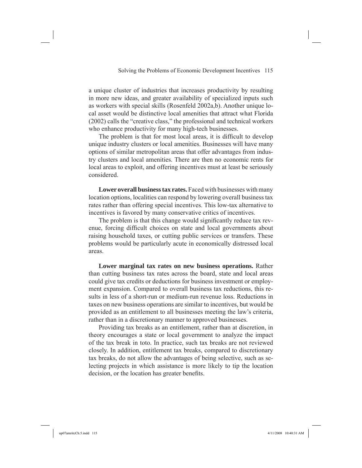a unique cluster of industries that increases productivity by resulting in more new ideas, and greater availability of specialized inputs such as workers with special skills (Rosenfeld 2002a,b). Another unique local asset would be distinctive local amenities that attract what Florida (2002) calls the "creative class," the professional and technical workers who enhance productivity for many high-tech businesses.

The problem is that for most local areas, it is difficult to develop unique industry clusters or local amenities. Businesses will have many options of similar metropolitan areas that offer advantages from industry clusters and local amenities. There are then no economic rents for local areas to exploit, and offering incentives must at least be seriously considered.

**Lower overall business tax rates.** Faced with businesses with many location options, localities can respond by lowering overall business tax rates rather than offering special incentives. This low-tax alternative to incentives is favored by many conservative critics of incentives.

The problem is that this change would significantly reduce tax revenue, forcing difficult choices on state and local governments about raising household taxes, or cutting public services or transfers. These problems would be particularly acute in economically distressed local areas.

**Lower marginal tax rates on new business operations.** Rather than cutting business tax rates across the board, state and local areas could give tax credits or deductions for business investment or employment expansion. Compared to overall business tax reductions, this results in less of a short-run or medium-run revenue loss. Reductions in taxes on new business operations are similar to incentives, but would be provided as an entitlement to all businesses meeting the law's criteria, rather than in a discretionary manner to approved businesses.

Providing tax breaks as an entitlement, rather than at discretion, in theory encourages a state or local government to analyze the impact of the tax break in toto. In practice, such tax breaks are not reviewed closely. In addition, entitlement tax breaks, compared to discretionary tax breaks, do not allow the advantages of being selective, such as selecting projects in which assistance is more likely to tip the location decision, or the location has greater benefits.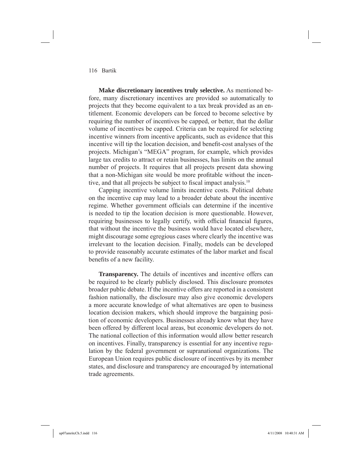**Make discretionary incentives truly selective.** As mentioned before, many discretionary incentives are provided so automatically to projects that they become equivalent to a tax break provided as an entitlement. Economic developers can be forced to become selective by requiring the number of incentives be capped, or better, that the dollar volume of incentives be capped. Criteria can be required for selecting incentive winners from incentive applicants, such as evidence that this incentive will tip the location decision, and benefit-cost analyses of the projects. Michigan's "MEGA" program, for example, which provides large tax credits to attract or retain businesses, has limits on the annual number of projects. It requires that all projects present data showing that a non-Michigan site would be more profitable without the incentive, and that all projects be subject to fiscal impact analysis.<sup>10</sup>

Capping incentive volume limits incentive costs. Political debate on the incentive cap may lead to a broader debate about the incentive regime. Whether government officials can determine if the incentive is needed to tip the location decision is more questionable. However, requiring businesses to legally certify, with official financial figures, that without the incentive the business would have located elsewhere, might discourage some egregious cases where clearly the incentive was irrelevant to the location decision. Finally, models can be developed to provide reasonably accurate estimates of the labor market and fiscal benefits of a new facility.

**Transparency.** The details of incentives and incentive offers can be required to be clearly publicly disclosed. This disclosure promotes broader public debate. If the incentive offers are reported in a consistent fashion nationally, the disclosure may also give economic developers a more accurate knowledge of what alternatives are open to business location decision makers, which should improve the bargaining position of economic developers. Businesses already know what they have been offered by different local areas, but economic developers do not. The national collection of this information would allow better research on incentives. Finally, transparency is essential for any incentive regulation by the federal government or supranational organizations. The European Union requires public disclosure of incentives by its member states, and disclosure and transparency are encouraged by international trade agreements.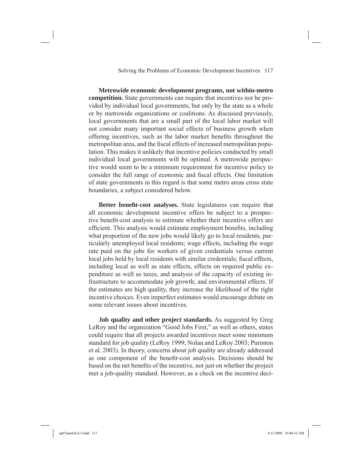**Metrowide economic development programs, not within-metro competition.** State governments can require that incentives not be provided by individual local governments, but only by the state as a whole or by metrowide organizations or coalitions. As discussed previously, local governments that are a small part of the local labor market will not consider many important social effects of business growth when offering incentives, such as the labor market benefits throughout the metropolitan area, and the fiscal effects of increased metropolitan population. This makes it unlikely that incentive policies conducted by small individual local governments will be optimal. A metrowide perspective would seem to be a minimum requirement for incentive policy to consider the full range of economic and fiscal effects. One limitation of state governments in this regard is that some metro areas cross state boundaries, a subject considered below.

**Better benefit-cost analyses.** State legislatures can require that all economic development incentive offers be subject to a prospective benefit-cost analysis to estimate whether their incentive offers are efficient. This analysis would estimate employment benefits, including what proportion of the new jobs would likely go to local residents, particularly unemployed local residents; wage effects, including the wage rate paid on the jobs for workers of given credentials versus current local jobs held by local residents with similar credentials; fiscal effects, including local as well as state effects, effects on required public expenditure as well as taxes, and analysis of the capacity of existing infrastructure to accommodate job growth; and environmental effects. If the estimates are high quality, they increase the likelihood of the right incentive choices. Even imperfect estimates would encourage debate on some relevant issues about incentives.

**Job quality and other project standards.** As suggested by Greg LeRoy and the organization "Good Jobs First," as well as others, states could require that all projects awarded incentives meet some minimum standard for job quality (LeRoy 1999; Nolan and LeRoy 2003; Purinton et al. 2003). In theory, concerns about job quality are already addressed as one component of the benefit-cost analysis. Decisions should be based on the net benefits of the incentive, not just on whether the project met a job-quality standard. However, as a check on the incentive deci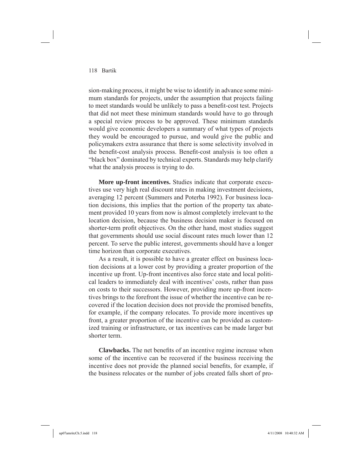sion-making process, it might be wise to identify in advance some minimum standards for projects, under the assumption that projects failing to meet standards would be unlikely to pass a benefit-cost test. Projects that did not meet these minimum standards would have to go through a special review process to be approved. These minimum standards would give economic developers a summary of what types of projects they would be encouraged to pursue, and would give the public and policymakers extra assurance that there is some selectivity involved in the benefit-cost analysis process. Benefit-cost analysis is too often a "black box" dominated by technical experts. Standards may help clarify what the analysis process is trying to do.

**More up-front incentives.** Studies indicate that corporate executives use very high real discount rates in making investment decisions, averaging 12 percent (Summers and Poterba 1992). For business location decisions, this implies that the portion of the property tax abatement provided 10 years from now is almost completely irrelevant to the location decision, because the business decision maker is focused on shorter-term profit objectives. On the other hand, most studies suggest that governments should use social discount rates much lower than 12 percent. To serve the public interest, governments should have a longer time horizon than corporate executives.

As a result, it is possible to have a greater effect on business location decisions at a lower cost by providing a greater proportion of the incentive up front. Up-front incentives also force state and local political leaders to immediately deal with incentives' costs, rather than pass on costs to their successors. However, providing more up-front incentives brings to the forefront the issue of whether the incentive can be recovered if the location decision does not provide the promised benefits, for example, if the company relocates. To provide more incentives up front, a greater proportion of the incentive can be provided as customized training or infrastructure, or tax incentives can be made larger but shorter term.

**Clawbacks.** The net benefits of an incentive regime increase when some of the incentive can be recovered if the business receiving the incentive does not provide the planned social benefits, for example, if the business relocates or the number of jobs created falls short of pro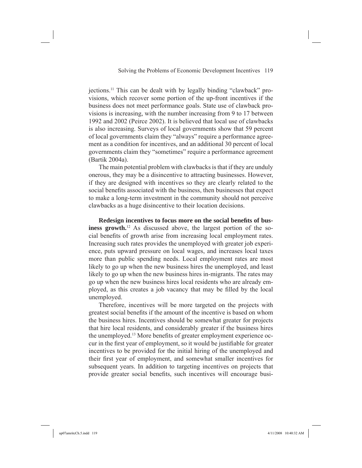jections.11 This can be dealt with by legally binding "clawback" provisions, which recover some portion of the up-front incentives if the business does not meet performance goals. State use of clawback provisions is increasing, with the number increasing from 9 to 17 between 1992 and 2002 (Peirce 2002). It is believed that local use of clawbacks is also increasing. Surveys of local governments show that 59 percent of local governments claim they "always" require a performance agreement as a condition for incentives, and an additional 30 percent of local governments claim they "sometimes" require a performance agreement (Bartik 2004a).

The main potential problem with clawbacks is that if they are unduly onerous, they may be a disincentive to attracting businesses. However, if they are designed with incentives so they are clearly related to the social benefits associated with the business, then businesses that expect to make a long-term investment in the community should not perceive clawbacks as a huge disincentive to their location decisions.

Redesign incentives to focus more on the social benefits of bus**iness growth.**<sup>12</sup> As discussed above, the largest portion of the social benefits of growth arise from increasing local employment rates. Increasing such rates provides the unemployed with greater job experience, puts upward pressure on local wages, and increases local taxes more than public spending needs. Local employment rates are most likely to go up when the new business hires the unemployed, and least likely to go up when the new business hires in-migrants. The rates may go up when the new business hires local residents who are already employed, as this creates a job vacancy that may be filled by the local unemployed.

Therefore, incentives will be more targeted on the projects with greatest social benefits if the amount of the incentive is based on whom the business hires. Incentives should be somewhat greater for projects that hire local residents, and considerably greater if the business hires the unemployed.13 More benefits of greater employment experience occur in the first year of employment, so it would be justifiable for greater incentives to be provided for the initial hiring of the unemployed and their first year of employment, and somewhat smaller incentives for subsequent years. In addition to targeting incentives on projects that provide greater social benefits, such incentives will encourage busi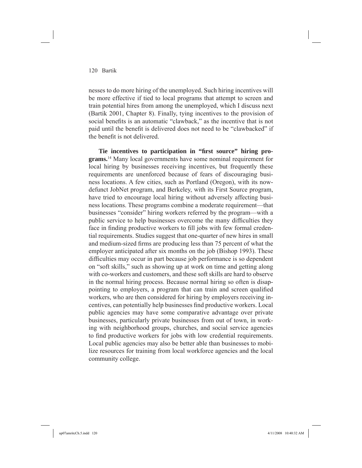nesses to do more hiring of the unemployed. Such hiring incentives will be more effective if tied to local programs that attempt to screen and train potential hires from among the unemployed, which I discuss next (Bartik 2001, Chapter 8). Finally, tying incentives to the provision of social benefits is an automatic "clawback," as the incentive that is not paid until the benefit is delivered does not need to be "clawbacked" if the benefit is not delivered.

Tie incentives to participation in "first source" hiring pro**grams.**14 Many local governments have some nominal requirement for local hiring by businesses receiving incentives, but frequently these requirements are unenforced because of fears of discouraging business locations. A few cities, such as Portland (Oregon), with its nowdefunct JobNet program, and Berkeley, with its First Source program, have tried to encourage local hiring without adversely affecting business locations. These programs combine a moderate requirement—that businesses "consider" hiring workers referred by the program—with a public service to help businesses overcome the many difficulties they face in finding productive workers to fill jobs with few formal credential requirements. Studies suggest that one-quarter of new hires in small and medium-sized firms are producing less than 75 percent of what the employer anticipated after six months on the job (Bishop 1993). These difficulties may occur in part because job performance is so dependent on "soft skills," such as showing up at work on time and getting along with co-workers and customers, and these soft skills are hard to observe in the normal hiring process. Because normal hiring so often is disappointing to employers, a program that can train and screen qualified workers, who are then considered for hiring by employers receiving incentives, can potentially help businesses find productive workers. Local public agencies may have some comparative advantage over private businesses, particularly private businesses from out of town, in working with neighborhood groups, churches, and social service agencies to find productive workers for jobs with low credential requirements. Local public agencies may also be better able than businesses to mobilize resources for training from local workforce agencies and the local community college.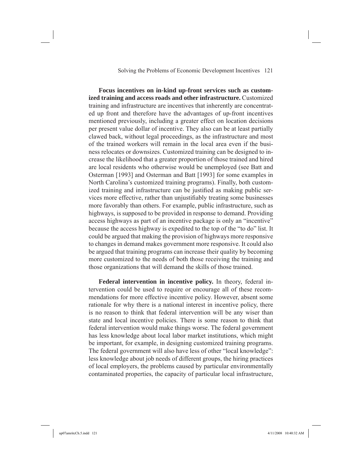**Focus incentives on in-kind up-front services such as customized training and access roads and other infrastructure.** Customized training and infrastructure are incentives that inherently are concentrated up front and therefore have the advantages of up-front incentives mentioned previously, including a greater effect on location decisions per present value dollar of incentive. They also can be at least partially clawed back, without legal proceedings, as the infrastructure and most of the trained workers will remain in the local area even if the business relocates or downsizes. Customized training can be designed to increase the likelihood that a greater proportion of those trained and hired are local residents who otherwise would be unemployed (see Batt and Osterman [1993] and Osterman and Batt [1993] for some examples in North Carolina's customized training programs). Finally, both customized training and infrastructure can be justified as making public services more effective, rather than unjustifiably treating some businesses more favorably than others. For example, public infrastructure, such as highways, is supposed to be provided in response to demand. Providing access highways as part of an incentive package is only an "incentive" because the access highway is expedited to the top of the "to do" list. It could be argued that making the provision of highways more responsive to changes in demand makes government more responsive. It could also be argued that training programs can increase their quality by becoming more customized to the needs of both those receiving the training and those organizations that will demand the skills of those trained.

**Federal intervention in incentive policy.** In theory, federal intervention could be used to require or encourage all of these recommendations for more effective incentive policy. However, absent some rationale for why there is a national interest in incentive policy, there is no reason to think that federal intervention will be any wiser than state and local incentive policies. There is some reason to think that federal intervention would make things worse. The federal government has less knowledge about local labor market institutions, which might be important, for example, in designing customized training programs. The federal government will also have less of other "local knowledge": less knowledge about job needs of different groups, the hiring practices of local employers, the problems caused by particular environmentally contaminated properties, the capacity of particular local infrastructure,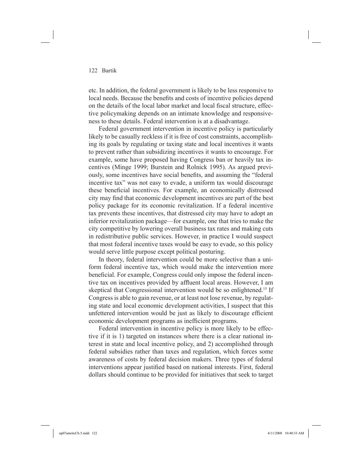etc. In addition, the federal government is likely to be less responsive to local needs. Because the benefits and costs of incentive policies depend on the details of the local labor market and local fiscal structure, effective policymaking depends on an intimate knowledge and responsiveness to these details. Federal intervention is at a disadvantage.

Federal government intervention in incentive policy is particularly likely to be casually reckless if it is free of cost constraints, accomplishing its goals by regulating or taxing state and local incentives it wants to prevent rather than subsidizing incentives it wants to encourage. For example, some have proposed having Congress ban or heavily tax incentives (Minge 1999; Burstein and Rolnick 1995). As argued previously, some incentives have social benefits, and assuming the "federal incentive tax" was not easy to evade, a uniform tax would discourage these beneficial incentives. For example, an economically distressed city may find that economic development incentives are part of the best policy package for its economic revitalization. If a federal incentive tax prevents these incentives, that distressed city may have to adopt an inferior revitalization package—for example, one that tries to make the city competitive by lowering overall business tax rates and making cuts in redistributive public services. However, in practice I would suspect that most federal incentive taxes would be easy to evade, so this policy would serve little purpose except political posturing.

In theory, federal intervention could be more selective than a uniform federal incentive tax, which would make the intervention more beneficial. For example, Congress could only impose the federal incentive tax on incentives provided by affluent local areas. However, I am skeptical that Congressional intervention would be so enlightened.<sup>15</sup> If Congress is able to gain revenue, or at least not lose revenue, by regulating state and local economic development activities, I suspect that this unfettered intervention would be just as likely to discourage efficient economic development programs as inefficient programs.

Federal intervention in incentive policy is more likely to be effective if it is 1) targeted on instances where there is a clear national interest in state and local incentive policy, and 2) accomplished through federal subsidies rather than taxes and regulation, which forces some awareness of costs by federal decision makers. Three types of federal interventions appear justified based on national interests. First, federal dollars should continue to be provided for initiatives that seek to target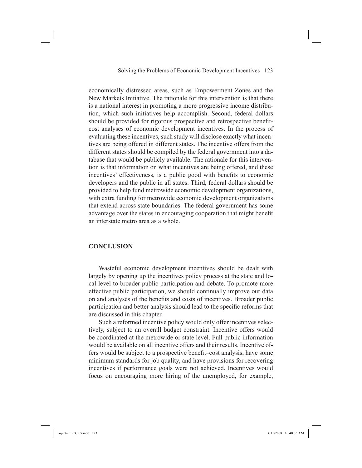economically distressed areas, such as Empowerment Zones and the New Markets Initiative. The rationale for this intervention is that there is a national interest in promoting a more progressive income distribution, which such initiatives help accomplish. Second, federal dollars should be provided for rigorous prospective and retrospective benefitcost analyses of economic development incentives. In the process of evaluating these incentives, such study will disclose exactly what incentives are being offered in different states. The incentive offers from the different states should be compiled by the federal government into a database that would be publicly available. The rationale for this intervention is that information on what incentives are being offered, and these incentives' effectiveness, is a public good with benefits to economic developers and the public in all states. Third, federal dollars should be provided to help fund metrowide economic development organizations, with extra funding for metrowide economic development organizations that extend across state boundaries. The federal government has some advantage over the states in encouraging cooperation that might benefit an interstate metro area as a whole.

### **CONCLUSION**

Wasteful economic development incentives should be dealt with largely by opening up the incentives policy process at the state and local level to broader public participation and debate. To promote more effective public participation, we should continually improve our data on and analyses of the benefits and costs of incentives. Broader public participation and better analysis should lead to the specific reforms that are discussed in this chapter.

Such a reformed incentive policy would only offer incentives selectively, subject to an overall budget constraint. Incentive offers would be coordinated at the metrowide or state level. Full public information would be available on all incentive offers and their results. Incentive offers would be subject to a prospective benefit–cost analysis, have some minimum standards for job quality, and have provisions for recovering incentives if performance goals were not achieved. Incentives would focus on encouraging more hiring of the unemployed, for example,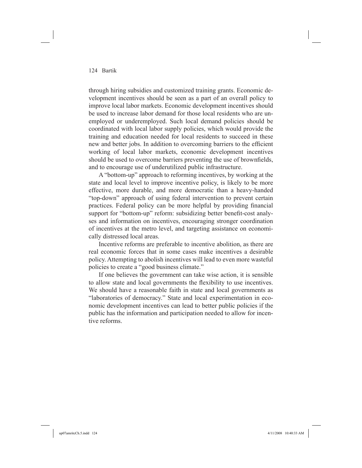through hiring subsidies and customized training grants. Economic development incentives should be seen as a part of an overall policy to improve local labor markets. Economic development incentives should be used to increase labor demand for those local residents who are unemployed or underemployed. Such local demand policies should be coordinated with local labor supply policies, which would provide the training and education needed for local residents to succeed in these new and better jobs. In addition to overcoming barriers to the efficient working of local labor markets, economic development incentives should be used to overcome barriers preventing the use of brownfields, and to encourage use of underutilized public infrastructure.

A "bottom-up" approach to reforming incentives, by working at the state and local level to improve incentive policy, is likely to be more effective, more durable, and more democratic than a heavy-handed "top-down" approach of using federal intervention to prevent certain practices. Federal policy can be more helpful by providing financial support for "bottom-up" reform: subsidizing better benefit-cost analyses and information on incentives, encouraging stronger coordination of incentives at the metro level, and targeting assistance on economically distressed local areas.

Incentive reforms are preferable to incentive abolition, as there are real economic forces that in some cases make incentives a desirable policy. Attempting to abolish incentives will lead to even more wasteful policies to create a "good business climate."

If one believes the government can take wise action, it is sensible to allow state and local governments the flexibility to use incentives. We should have a reasonable faith in state and local governments as "laboratories of democracy." State and local experimentation in economic development incentives can lead to better public policies if the public has the information and participation needed to allow for incentive reforms.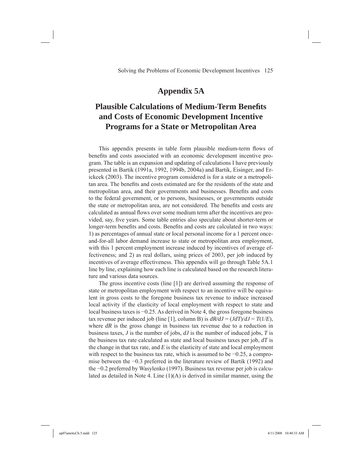## **Appendix 5A**

## **Plausible Calculations of Medium-Term Benefits and Costs of Economic Development Incentive Programs for a State or Metropolitan Area**

This appendix presents in table form plausible medium-term flows of benefits and costs associated with an economic development incentive program. The table is an expansion and updating of calculations I have previously presented in Bartik (1991a, 1992, 1994b, 2004a) and Bartik, Eisinger, and Erickcek (2003). The incentive program considered is for a state or a metropolitan area. The benefits and costs estimated are for the residents of the state and metropolitan area, and their governments and businesses. Benefits and costs to the federal government, or to persons, businesses, or governments outside the state or metropolitan area, are not considered. The benefits and costs are calculated as annual flows over some medium term after the incentives are provided, say, five years. Some table entries also speculate about shorter-term or longer-term benefits and costs. Benefits and costs are calculated in two ways: 1) as percentages of annual state or local personal income for a 1 percent onceand-for-all labor demand increase to state or metropolitan area employment, with this 1 percent employment increase induced by incentives of average effectiveness; and 2) as real dollars, using prices of 2003, per job induced by incentives of average effectiveness. This appendix will go through Table 5A.1 line by line, explaining how each line is calculated based on the research literature and various data sources.

The gross incentive costs (line [1]) are derived assuming the response of state or metropolitan employment with respect to an incentive will be equivalent in gross costs to the foregone business tax revenue to induce increased local activity if the elasticity of local employment with respect to state and local business taxes is −0.25. As derived in Note 4, the gross foregone business tax revenue per induced job (line [1], column B) is  $dR/dJ = (JdT)/dJ = T(1/E)$ , where  $dR$  is the gross change in business tax revenue due to a reduction in business taxes, *J* is the number of jobs, *dJ* is the number of induced jobs, *T* is the business tax rate calculated as state and local business taxes per job, *dT* is the change in that tax rate, and *E* is the elasticity of state and local employment with respect to the business tax rate, which is assumed to be −0.25, a compromise between the −0.3 preferred in the literature review of Bartik (1992) and the −0.2 preferred by Wasylenko (1997). Business tax revenue per job is calculated as detailed in Note 4. Line (1)(A) is derived in similar manner, using the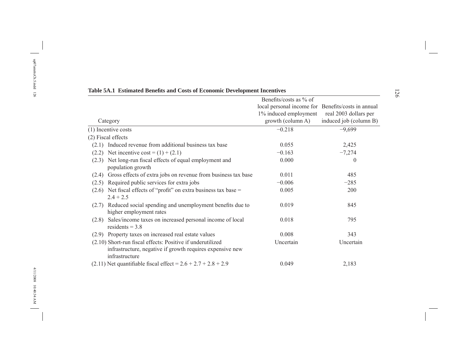| Table 5A.1 Estimated Benefits and Costs of Economic Development Incentives                                                                |                                                    |                        |  |  |  |
|-------------------------------------------------------------------------------------------------------------------------------------------|----------------------------------------------------|------------------------|--|--|--|
|                                                                                                                                           | Benefits/costs as % of                             |                        |  |  |  |
|                                                                                                                                           | local personal income for Benefits/costs in annual |                        |  |  |  |
|                                                                                                                                           | 1% induced employment                              | real 2003 dollars per  |  |  |  |
| Category                                                                                                                                  | growth (column A)                                  | induced job (column B) |  |  |  |
| (1) Incentive costs                                                                                                                       | $-0.218$                                           | $-9,699$               |  |  |  |
| (2) Fiscal effects                                                                                                                        |                                                    |                        |  |  |  |
| (2.1) Induced revenue from additional business tax base                                                                                   | 0.055                                              | 2,425                  |  |  |  |
| Net incentive cost = $(1) + (2.1)$<br>(2.2)                                                                                               | $-0.163$                                           | $-7,274$               |  |  |  |
| Net long-run fiscal effects of equal employment and<br>(2.3)<br>population growth                                                         | 0.000                                              | $\theta$               |  |  |  |
| Gross effects of extra jobs on revenue from business tax base<br>(2.4)                                                                    | 0.011                                              | 485                    |  |  |  |
| Required public services for extra jobs<br>(2.5)                                                                                          | $-0.006$                                           | $-285$                 |  |  |  |
| Net fiscal effects of "profit" on extra business tax base =<br>(2.6)<br>$2.4 + 2.5$                                                       | 0.005                                              | 200                    |  |  |  |
| Reduced social spending and unemployment benefits due to<br>(2.7)<br>higher employment rates                                              | 0.019                                              | 845                    |  |  |  |
| Sales/income taxes on increased personal income of local<br>(2.8)<br>residents $= 3.8$                                                    | 0.018                                              | 795                    |  |  |  |
| (2.9) Property taxes on increased real estate values                                                                                      | 0.008                                              | 343                    |  |  |  |
| (2.10) Short-run fiscal effects: Positive if underutilized<br>infrastructure, negative if growth requires expensive new<br>infrastructure | Uncertain                                          | Uncertain              |  |  |  |
| $(2.11)$ Net quantifiable fiscal effect = $2.6 + 2.7 + 2.8 + 2.9$                                                                         | 0.049                                              | 2,183                  |  |  |  |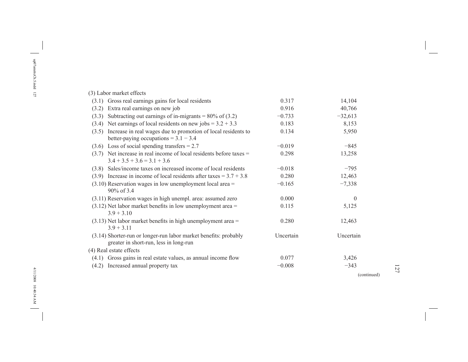|       | (3) Labor market effects                                                                                   |           |           |
|-------|------------------------------------------------------------------------------------------------------------|-----------|-----------|
|       | (3.1) Gross real earnings gains for local residents                                                        | 0.317     | 14,104    |
| (3.2) | Extra real earnings on new job                                                                             | 0.916     | 40,766    |
| (3.3) | Subtracting out earnings of in-migrants = $80\%$ of (3.2)                                                  | $-0.733$  | $-32,613$ |
| (3.4) | Net earnings of local residents on new jobs = $3.2 + 3.3$                                                  | 0.183     | 8,153     |
| (3.5) | Increase in real wages due to promotion of local residents to<br>better-paying occupations = $3.1 - 3.4$   | 0.134     | 5,950     |
|       | $(3.6)$ Loss of social spending transfers = 2.7                                                            | $-0.019$  | $-845$    |
|       | $(3.7)$ Net increase in real income of local residents before taxes =<br>$3.4 + 3.5 + 3.6 = 3.1 + 3.6$     | 0.298     | 13,258    |
| (3.8) | Sales/income taxes on increased income of local residents                                                  | $-0.018$  | $-795$    |
|       | $(3.9)$ Increase in income of local residents after taxes = 3.7 + 3.8                                      | 0.280     | 12,463    |
|       | $(3.10)$ Reservation wages in low unemployment local area =<br>90% of 3.4                                  | $-0.165$  | $-7,338$  |
|       | (3.11) Reservation wages in high unempl. area: assumed zero                                                | 0.000     | $\theta$  |
|       | $(3.12)$ Net labor market benefits in low unemployment area =<br>$3.9 + 3.10$                              | 0.115     | 5,125     |
|       | $(3.13)$ Net labor market benefits in high unemployment area =<br>$3.9 + 3.11$                             | 0.280     | 12,463    |
|       | (3.14) Shorter-run or longer-run labor market benefits: probably<br>greater in short-run, less in long-run | Uncertain | Uncertain |
|       | (4) Real estate effects                                                                                    |           |           |
|       | (4.1) Gross gains in real estate values, as annual income flow                                             | 0.077     | 3,426     |
| (4.2) | Increased annual property tax                                                                              | $-0.008$  | $-343$    |
|       |                                                                                                            |           |           |

 $127$ 127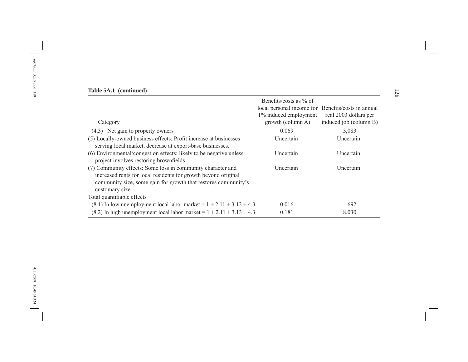## **Table 5A.1 (continued)**

| Category                                                                                                                                                                                                          | Benefits/costs as % of<br>local personal income for Benefits/costs in annual<br>1% induced employment<br>growth (column A) | real 2003 dollars per<br>induced job (column B) |
|-------------------------------------------------------------------------------------------------------------------------------------------------------------------------------------------------------------------|----------------------------------------------------------------------------------------------------------------------------|-------------------------------------------------|
| $(4.3)$ Net gain to property owners                                                                                                                                                                               | 0.069                                                                                                                      | 3,083                                           |
| (5) Locally-owned business effects: Profit increase at businesses<br>serving local market, decrease at export-base businesses.                                                                                    | Uncertain                                                                                                                  | Uncertain                                       |
| (6) Environmental/congestion effects: likely to be negative unless<br>project involves restoring brownfields                                                                                                      | Uncertain                                                                                                                  | Uncertain                                       |
| (7) Community effects: Some loss in community character and<br>increased rents for local residents for growth beyond original<br>community size, some gain for growth that restores community's<br>customary size | Uncertain                                                                                                                  | Uncertain                                       |
| Total quantifiable effects                                                                                                                                                                                        |                                                                                                                            |                                                 |
| $(8.1)$ In low unemployment local labor market = $1 + 2.11 + 3.12 + 4.3$                                                                                                                                          | 0.016                                                                                                                      | 692                                             |
| $(8.2)$ In high unemployment local labor market = $1 + 2.11 + 3.13 + 4.3$                                                                                                                                         | 0.181                                                                                                                      | 8,030                                           |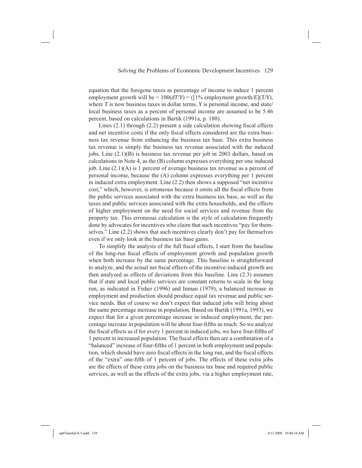equation that the foregone taxes as percentage of income to induce 1 percent employment growth will be =  $100(dT/Y)$  = ( $[1\%$  employment growth/*E*](*T/Y*), where *T* is now business taxes in dollar terms, *Y* is personal income, and state/ local business taxes as a percent of personal income are assumed to be 5.46 percent, based on calculations in Bartik (1991a, p. 180).

Lines (2.1) through (2.2) present a side calculation showing fiscal effects and net incentive costs if the only fiscal effects considered are the extra business tax revenue from enhancing the business tax base. This extra business tax revenue is simply the business tax revenue associated with the induced jobs. Line (2.1)(B) is business tax revenue per job in 2003 dollars, based on calculations in Note 4, as the (B) column expresses everything per one induced job. Line (2.1)(A) is 1 percent of average business tax revenue as a percent of personal income, because the (A) column expresses everything per 1 percent in induced extra employment. Line (2.2) then shows a supposed "net incentive cost," which, however, is erroneous because it omits all the fiscal effects from the public services associated with the extra business tax base, as well as the taxes and public services associated with the extra households, and the effects of higher employment on the need for social services and revenue from the property tax. This erroneous calculation is the style of calculation frequently done by advocates for incentives who claim that such incentives "pay for themselves." Line (2.2) shows that such incentives clearly don't pay for themselves even if we only look at the business tax base gains.

To simplify the analysis of the full fiscal effects, I start from the baseline of the long-run fiscal effects of employment growth and population growth when both increase by the same percentage. This baseline is straightforward to analyze, and the actual net fiscal effects of the incentive-induced growth are then analyzed as effects of deviations from this baseline. Line (2.3) assumes that if state and local public services are constant returns to scale in the long run, as indicated in Fisher (1996) and Inman (1979), a balanced increase in employment and production should produce equal tax revenue and public service needs. But of course we don't expect that induced jobs will bring about the same percentage increase in population. Based on Bartik (1991a, 1993), we expect that for a given percentage increase in induced employment, the percentage increase in population will be about four-fifths as much. So we analyze the fiscal effects as if for every 1 percent in induced jobs, we have four-fifths of 1 percent in increased population. The fiscal effects then are a combination of a "balanced" increase of four-fifths of 1 percent in both employment and population, which should have zero fiscal effects in the long run, and the fiscal effects of the "extra" one-fifth of 1 percent of jobs. The effects of these extra jobs are the effects of these extra jobs on the business tax base and required public services, as well as the effects of the extra jobs, via a higher employment rate,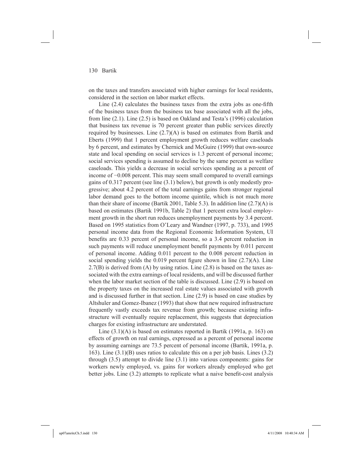on the taxes and transfers associated with higher earnings for local residents, considered in the section on labor market effects.

Line (2.4) calculates the business taxes from the extra jobs as one-fifth of the business taxes from the business tax base associated with all the jobs, from line (2.1). Line (2.5) is based on Oakland and Testa's (1996) calculation that business tax revenue is 70 percent greater than public services directly required by businesses. Line  $(2.7)(A)$  is based on estimates from Bartik and Eberts (1999) that 1 percent employment growth reduces welfare caseloads by 6 percent, and estimates by Chernick and McGuire (1999) that own-source state and local spending on social services is 1.3 percent of personal income; social services spending is assumed to decline by the same percent as welfare caseloads. This yields a decrease in social services spending as a percent of income of −0.008 percent. This may seem small compared to overall earnings gains of 0.317 percent (see line (3.1) below), but growth is only modestly progressive; about 4.2 percent of the total earnings gains from stronger regional labor demand goes to the bottom income quintile, which is not much more than their share of income (Bartik 2001, Table 5.3). In addition line  $(2.7)(A)$  is based on estimates (Bartik 1991b, Table 2) that 1 percent extra local employment growth in the short run reduces unemployment payments by 3.4 percent. Based on 1995 statistics from O'Leary and Wandner (1997, p. 733), and 1995 personal income data from the Regional Economic Information System, UI benefits are 0.33 percent of personal income, so a 3.4 percent reduction in such payments will reduce unemployment benefit payments by 0.011 percent of personal income. Adding 0.011 percent to the 0.008 percent reduction in social spending yields the 0.019 percent figure shown in line (2.7)(A). Line  $2.7(B)$  is derived from (A) by using ratios. Line (2.8) is based on the taxes associated with the extra earnings of local residents, and will be discussed further when the labor market section of the table is discussed. Line (2.9) is based on the property taxes on the increased real estate values associated with growth and is discussed further in that section. Line (2.9) is based on case studies by Altshuler and Gomez-Ibanez (1993) that show that new required infrastructure frequently vastly exceeds tax revenue from growth; because existing infrastructure will eventually require replacement, this suggests that depreciation charges for existing infrastructure are understated.

Line (3.1)(A) is based on estimates reported in Bartik (1991a, p. 163) on effects of growth on real earnings, expressed as a percent of personal income by assuming earnings are 73.5 percent of personal income (Bartik, 1991a, p. 163). Line (3.1)(B) uses ratios to calculate this on a per job basis. Lines (3.2) through (3.5) attempt to divide line (3.1) into various components: gains for workers newly employed, vs. gains for workers already employed who get better jobs. Line (3.2) attempts to replicate what a naive benefit-cost analysis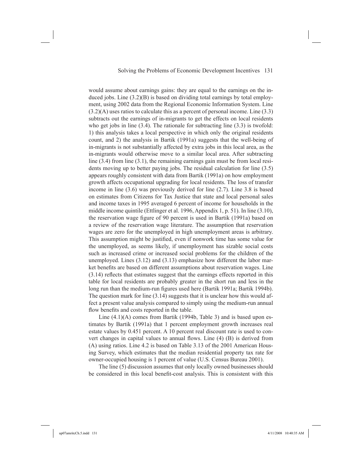would assume about earnings gains: they are equal to the earnings on the induced jobs. Line (3.2)(B) is based on dividing total earnings by total employment, using 2002 data from the Regional Economic Information System. Line (3.2)(A) uses ratios to calculate this as a percent of personal income. Line (3.3) subtracts out the earnings of in-migrants to get the effects on local residents who get jobs in line  $(3.4)$ . The rationale for subtracting line  $(3.3)$  is twofold: 1) this analysis takes a local perspective in which only the original residents count, and 2) the analysis in Bartik (1991a) suggests that the well-being of in-migrants is not substantially affected by extra jobs in this local area, as the in-migrants would otherwise move to a similar local area. After subtracting line (3.4) from line (3.1), the remaining earnings gain must be from local residents moving up to better paying jobs. The residual calculation for line (3.5) appears roughly consistent with data from Bartik (1991a) on how employment growth affects occupational upgrading for local residents. The loss of transfer income in line (3.6) was previously derived for line (2.7). Line 3.8 is based on estimates from Citizens for Tax Justice that state and local personal sales and income taxes in 1995 averaged 6 percent of income for households in the middle income quintile (Ettlinger et al. 1996, Appendix 1, p. 51). In line (3.10), the reservation wage figure of 90 percent is used in Bartik (1991a) based on a review of the reservation wage literature. The assumption that reservation wages are zero for the unemployed in high unemployment areas is arbitrary. This assumption might be justified, even if nonwork time has some value for the unemployed, as seems likely, if unemployment has sizable social costs such as increased crime or increased social problems for the children of the unemployed. Lines (3.12) and (3.13) emphasize how different the labor market benefits are based on different assumptions about reservation wages. Line (3.14) reflects that estimates suggest that the earnings effects reported in this table for local residents are probably greater in the short run and less in the long run than the medium-run figures used here (Bartik 1991a; Bartik 1994b). The question mark for line (3.14) suggests that it is unclear how this would affect a present value analysis compared to simply using the medium-run annual flow benefits and costs reported in the table.

Line  $(4.1)(A)$  comes from Bartik (1994b, Table 3) and is based upon estimates by Bartik (1991a) that 1 percent employment growth increases real estate values by 0.451 percent. A 10 percent real discount rate is used to convert changes in capital values to annual flows. Line (4) (B) is derived from (A) using ratios. Line 4.2 is based on Table 3.13 of the 2001 American Housing Survey, which estimates that the median residential property tax rate for owner-occupied housing is 1 percent of value (U.S. Census Bureau 2001).

The line (5) discussion assumes that only locally owned businesses should be considered in this local benefit-cost analysis. This is consistent with this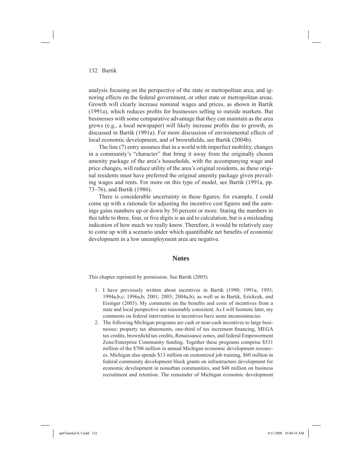analysis focusing on the perspective of the state or metropolitan area, and ignoring effects on the federal government, or other state or metropolitan areas. Growth will clearly increase nominal wages and prices, as shown in Bartik (1991a), which reduces profits for businesses selling to outside markets. But businesses with some comparative advantage that they can maintain as the area grows (e.g., a local newspaper) will likely increase profits due to growth, as discussed in Bartik (1991a). For more discussion of environmental effects of local economic development, and of brownfields, see Bartik (2004b).

The line (7) entry assumes that in a world with imperfect mobility, changes in a community's "character" that bring it away from the originally chosen amenity package of the area's households, with the accompanying wage and price changes, will reduce utility of the area's original residents, as these original residents must have preferred the original amenity package given prevailing wages and rents. For more on this type of model, see Bartik (1991a, pp. 73–76), and Bartik (1986).

There is considerable uncertainty in these figures; for example, I could come up with a rationale for adjusting the incentive cost figures and the earnings gains numbers up or down by 50 percent or more. Stating the numbers in this table to three, four, or five digits is an aid to calculation, but is a misleading indication of how much we really know. Therefore, it would be relatively easy to come up with a scenario under which quantifiable net benefits of economic development in a low unemployment area are negative.

## **Notes**

This chapter reprinted by permission. See Bartik (2005).

- 1. I have previously written about incentives in Bartik (1990; 1991a; 1993; 1994a,b,c; 1996a,b; 2001; 2003; 2004a,b), as well as in Bartik, Erickcek, and Eisinger (2003). My comments on the benefits and costs of incentives from a state and local perspective are reasonably consistent. As I will footnote later, my comments on federal intervention in incentives have some inconsistencies.
- 2. The following Michigan programs are cash or near-cash incentives to large businesses: property tax abatements, one-third of tax increment financing, MEGA tax credits, brownfield tax credits, Renaissance zones, and federal Empowerment Zone/Enterprise Community funding. Together these programs comprise \$531 million of the \$706 million in annual Michigan economic development resources. Michigan also spends \$13 million on customized job training, \$60 million in federal community development block grants on infrastructure development for economic development in nonurban communities, and \$48 million on business recruitment and retention. The remainder of Michigan economic development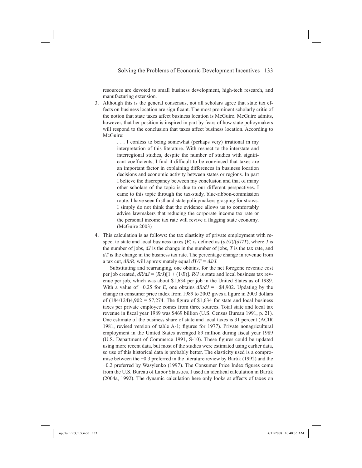resources are devoted to small business development, high-tech research, and manufacturing extension.

 3. Although this is the general consensus, not all scholars agree that state tax effects on business location are significant. The most prominent scholarly critic of the notion that state taxes affect business location is McGuire. McGuire admits, however, that her position is inspired in part by fears of how state policymakers will respond to the conclusion that taxes affect business location. According to McGuire:

> . . . I confess to being somewhat (perhaps very) irrational in my interpretation of this literature. With respect to the interstate and interregional studies, despite the number of studies with significant coefficients, I find it difficult to be convinced that taxes are an important factor in explaining differences in business location decisions and economic activity between states or regions. In part I believe the discrepancy between my conclusion and that of many other scholars of the topic is due to our different perspectives. I came to this topic through the tax-study, blue-ribbon-commission route. I have seen firsthand state policymakers grasping for straws. I simply do not think that the evidence allows us to comfortably advise lawmakers that reducing the corporate income tax rate or the personal income tax rate will revive a flagging state economy. (McGuire 2003)

 4. This calculation is as follows: the tax elasticity of private employment with respect to state and local business taxes  $(E)$  is defined as  $(dJ/J)/(dT/T)$ , where *J* is the number of jobs, *dJ* is the change in the number of jobs, *T* is the tax rate, and *dT* is the change in the business tax rate. The percentage change in revenue from a tax cut, *dR/R*, will approximately equal *dT/T = dJ/J.*

 Substituting and rearranging, one obtains, for the net foregone revenue cost per job created,  $dR/dJ = (R/J)[1 + (1/E)]$ .  $R/J$  is state and local business tax revenue per job, which was about \$1,634 per job in the United States as of 1989. With a value of  $-0.25$  for *E*, one obtains  $dR/dJ = -\frac{6}{3}4.902$ . Updating by the change in consumer price index from 1989 to 2003 gives a figure in 2003 dollars of  $(184/124)4,902 = $7,274$ . The figure of \$1,634 for state and local business taxes per private employee comes from three sources. Total state and local tax revenue in fiscal year 1989 was \$469 billion (U.S. Census Bureau 1991, p. 21). One estimate of the business share of state and local taxes is 31 percent (ACIR 1981, revised version of table A-1; figures for 1977). Private nonagricultural employment in the United States averaged 89 million during fiscal year 1989 (U.S. Department of Commerce 1991, S-10). These figures could be updated using more recent data, but most of the studies were estimated using earlier data, so use of this historical data is probably better. The elasticity used is a compromise between the −0.3 preferred in the literature review by Bartik (1992) and the  $-0.2$  preferred by Wasylenko (1997). The Consumer Price Index figures come from the U.S. Bureau of Labor Statistics. I used an identical calculation in Bartik (2004a, 1992). The dynamic calculation here only looks at effects of taxes on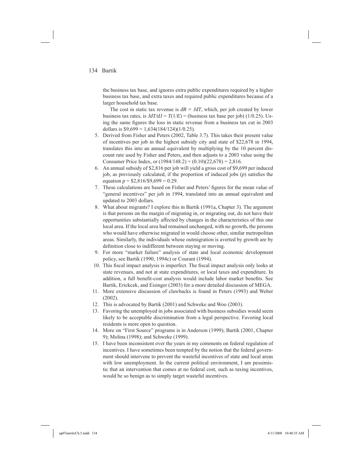the business tax base, and ignores extra public expenditures required by a higher business tax base, and extra taxes and required public expenditures because of a larger household tax base.

The cost in static tax revenue is  $dR = JdT$ , which, per job created by lower business tax rates, is  $JdT/dJ = T(1/E) =$  (business tax base per job) (1/0.25). Using the same figures the loss in static revenue from a business tax cut in 2003 dollars is  $$9,699 = 1,634(184/124)(1/0.25)$ .

- 5. Derived from Fisher and Peters (2002, Table 3.7). This takes their present value of incentives per job in the highest subsidy city and state of \$22,678 in 1994, translates this into an annual equivalent by multiplying by the 10 percent discount rate used by Fisher and Peters, and then adjusts to a 2003 value using the Consumer Price Index, or  $(1984/148.2) \times (0.10)(22,678) = 2,816$ .
- 6. An annual subsidy of \$2,816 per job will yield a gross cost of \$9,699 per induced job, as previously calculated, if the proportion of induced jobs  $(p)$  satisfies the equation  $p = $2,816/$9,699 = 0.29$ .
- 7. These calculations are based on Fisher and Peters' figures for the mean value of "general incentives" per job in 1994, translated into an annual equivalent and updated to 2003 dollars.
- 8. What about migrants? I explore this in Bartik (1991a, Chapter 3). The argument is that persons on the margin of migrating in, or migrating out, do not have their opportunities substantially affected by changes in the characteristics of this one local area. If the local area had remained unchanged, with no growth, the persons who would have otherwise migrated in would choose other, similar metropolitan areas. Similarly, the individuals whose outmigration is averted by growth are by definition close to indifferent between staying or moving.
- 9. For more "market failure" analysis of state and local economic development policy, see Bartik (1990, 1994c) or Courant (1994).
- 10. This fiscal impact analysis is imperfect. The fiscal impact analysis only looks at state revenues, and not at state expenditures, or local taxes and expenditure. In addition, a full benefit-cost analysis would include labor market benefits. See Bartik, Erickcek, and Eisinger (2003) for a more detailed discussion of MEGA.
- 11. More extensive discussion of clawbacks is found in Peters (1993) and Weber (2002).
- 12. This is advocated by Bartik (2001) and Schweke and Woo (2003).
- 13. Favoring the unemployed in jobs associated with business subsidies would seem likely to be acceptable discrimination from a legal perspective. Favoring local residents is more open to question.
- 14. More on "First Source" programs is in Anderson (1999); Bartik (2001, Chapter 9); Molina (1998); and Schweke (1999).
- 15. I have been inconsistent over the years in my comments on federal regulation of incentives. I have sometimes been tempted by the notion that the federal government should intervene to prevent the wasteful incentives of state and local areas with low unemployment. In the current political environment, I am pessimistic that an intervention that comes at no federal cost, such as taxing incentives, would be so benign as to simply target wasteful incentives.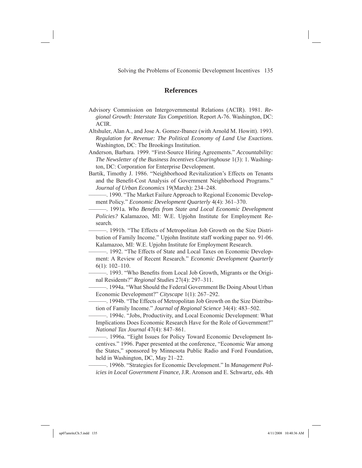## **References**

- Advisory Commission on Intergovernmental Relations (ACIR). 1981. *Regional Growth: Interstate Tax Competition.* Report A-76. Washington, DC: ACIR.
- Altshuler, Alan A., and Jose A. Gomez-Ibanez (with Arnold M. Howitt). 1993. *Regulation for Revenue: The Political Economy of Land Use Exactions.*  Washington, DC: The Brookings Institution.
- Anderson, Barbara. 1999. "First-Source Hiring Agreements." *Accountability: The Newsletter of the Business Incentives Clearinghouse* 1(3): 1. Washington, DC: Corporation for Enterprise Development.
- Bartik, Timothy J. 1986. "Neighborhood Revitalization's Effects on Tenants and the Benefit-Cost Analysis of Government Neighborhood Programs." *Journal of Urban Economics* 19(March): 234–248.
- ———. 1990. "The Market Failure Approach to Regional Economic Development Policy." *Economic Development Quarterly* 4(4): 361–370.
	- ———. 1991a. *Who Benefits from State and Local Economic Development Policies?* Kalamazoo, MI: W.E. Upjohn Institute for Employment Research.

———. 1991b. "The Effects of Metropolitan Job Growth on the Size Distribution of Family Income." Upjohn Institute staff working paper no. 91-06. Kalamazoo, MI: W.E. Upjohn Institute for Employment Research.

———. 1992. "The Effects of State and Local Taxes on Economic Development: A Review of Recent Research." *Economic Development Quarterly*  6(1): 102–110.

———. 1993. "Who Benefits from Local Job Growth, Migrants or the Original Residents?" *Regional Studies* 27(4): 297–311.

———. 1994a. "What Should the Federal Government Be Doing About Urban Economic Development?" *Cityscape* 1(1): 267–292.

———. 1994b. "The Effects of Metropolitan Job Growth on the Size Distribution of Family Income." *Journal of Regional Science* 34(4): 483–502.

———. 1994c. "Jobs, Productivity, and Local Economic Development: What Implications Does Economic Research Have for the Role of Government?" *National Tax Journal* 47(4): 847–861.

———. 1996a. "Eight Issues for Policy Toward Economic Development Incentives." 1996. Paper presented at the conference, "Economic War among the States," sponsored by Minnesota Public Radio and Ford Foundation, held in Washington, DC, May 21–22.

———. 1996b. "Strategies for Economic Development." In *Management Policies in Local Government Finance*, J.R. Aronson and E. Schwartz, eds. 4th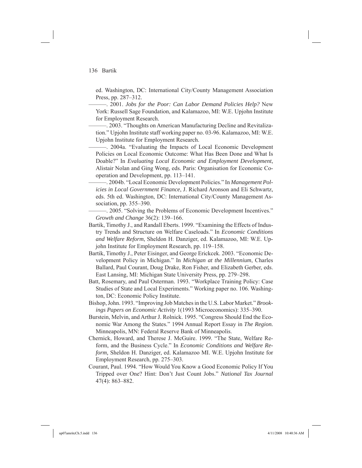ed. Washington, DC: International City/County Management Association Press, pp. 287–312.

———. 2001. *Jobs for the Poor: Can Labor Demand Policies Help?* New York: Russell Sage Foundation, and Kalamazoo, MI: W.E. Upjohn Institute for Employment Research.

—–. 2003. "Thoughts on American Manufacturing Decline and Revitalization." Upjohn Institute staff working paper no. 03-96. Kalamazoo, MI: W.E. Upjohn Institute for Employment Research.

———. 2004a. "Evaluating the Impacts of Local Economic Development Policies on Local Economic Outcome: What Has Been Done and What Is Doable?" In *Evaluating Local Economic and Employment Development*, Alistair Nolan and Ging Wong, eds. Paris: Organisation for Economic Cooperation and Development, pp. 113–141.

———. 2004b. "Local Economic Development Policies." In *Management Policies in Local Government Finance*, J. Richard Aronson and Eli Schwartz, eds. 5th ed. Washington, DC: International City/County Management Association, pp. 355–390.

———. 2005. "Solving the Problems of Economic Development Incentives." *Growth and Change* 36(2): 139–166.

- Bartik, Timothy J., and Randall Eberts. 1999. "Examining the Effects of Industry Trends and Structure on Welfare Caseloads." In *Economic Conditions and Welfare Reform*, Sheldon H. Danziger, ed. Kalamazoo, MI: W.E. Upjohn Institute for Employment Research, pp. 119–158.
- Bartik, Timothy J., Peter Eisinger, and George Erickcek. 2003. "Economic Development Policy in Michigan." In *Michigan at the Millennium*, Charles Ballard, Paul Courant, Doug Drake, Ron Fisher, and Elizabeth Gerber, eds. East Lansing, MI: Michigan State University Press, pp. 279–298.
- Batt, Rosemary, and Paul Osterman. 1993. "Workplace Training Policy: Case Studies of State and Local Experiments." Working paper no. 106. Washington, DC: Economic Policy Institute.
- Bishop, John. 1993. "Improving Job Matches in the U.S. Labor Market." *Brookings Papers on Economic Activity* 1(1993 Microeconomics): 335–390.
- Burstein, Melvin, and Arthur J. Rolnick. 1995. "Congress Should End the Economic War Among the States." 1994 Annual Report Essay in *The Region.* Minneapolis, MN: Federal Reserve Bank of Minneapolis.
- Chernick, Howard, and Therese J. McGuire. 1999. "The State, Welfare Reform, and the Business Cycle." In *Economic Conditions and Welfare Reform,* Sheldon H. Danziger, ed. Kalamazoo MI. W.E. Upjohn Institute for Employment Research, pp. 275–303.
- Courant, Paul. 1994. "How Would You Know a Good Economic Policy If You Tripped over One? Hint: Don't Just Count Jobs." *National Tax Journal*  47(4): 863–882.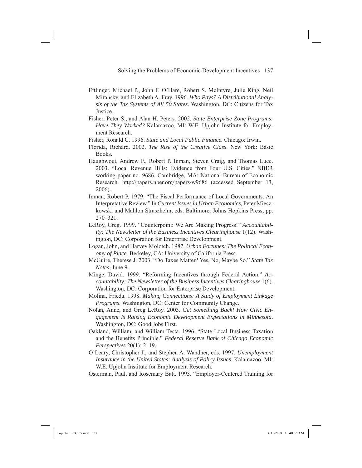- Ettlinger, Michael P., John F. O'Hare, Robert S. McIntyre, Julie King, Neil Miransky, and Elizabeth A. Fray. 1996. *Who Pays? A Distributional Analysis of the Tax Systems of All 50 States*. Washington, DC: Citizens for Tax Justice.
- Fisher, Peter S., and Alan H. Peters. 2002. *State Enterprise Zone Programs: Have They Worked?* Kalamazoo, MI: W.E. Upjohn Institute for Employment Research.

Fisher, Ronald C. 1996. *State and Local Public Finance.* Chicago: Irwin.

- Florida, Richard. 2002. *The Rise of the Creative Class*. New York: Basic Books.
- Haughwout, Andrew F., Robert P. Inman, Steven Craig, and Thomas Luce. 2003. "Local Revenue Hills: Evidence from Four U.S. Cities." NBER working paper no. 9686. Cambridge, MA: National Bureau of Economic Research. http://papers.nber.org/papers/w9686 (accessed September 13, 2006).
- Inman, Robert P. 1979. "The Fiscal Performance of Local Governments: An Interpretative Review." In *Current Issues in Urban Economics,* Peter Mieszkowski and Mahlon Straszheim, eds. Baltimore: Johns Hopkins Press, pp. 270–321.
- LeRoy, Greg. 1999. "Counterpoint: We Are Making Progress!" *Accountability: The Newsletter of the Business Incentives Clearinghouse* 1(12). Washington, DC: Corporation for Enterprise Development.
- Logan, John, and Harvey Molotch. 1987. *Urban Fortunes: The Political Economy of Place.* Berkeley, CA: University of California Press.
- McGuire, Therese J. 2003. "Do Taxes Matter? Yes, No, Maybe So." *State Tax Notes*, June 9.
- Minge, David. 1999. "Reforming Incentives through Federal Action." *Accountability: The Newsletter of the Business Incentives Clearinghouse* 1(6). Washington, DC: Corporation for Enterprise Development.
- Molina, Frieda. 1998. *Making Connections: A Study of Employment Linkage Programs*. Washington, DC: Center for Community Change.
- Nolan, Anne, and Greg LeRoy. 2003. *Get Something Back! How Civic Engagement Is Raising Economic Development Expectations in Minnesota*. Washington, DC: Good Jobs First.
- Oakland, William, and William Testa. 1996. "State-Local Business Taxation and the Benefits Principle." *Federal Reserve Bank of Chicago Economic Perspectives* 20(1): 2–19.
- O'Leary, Christopher J., and Stephen A. Wandner, eds. 1997. *Unemployment Insurance in the United States: Analysis of Policy Issues.* Kalamazoo, MI: W.E. Upjohn Institute for Employment Research.
- Osterman, Paul, and Rosemary Batt. 1993. "Employer-Centered Training for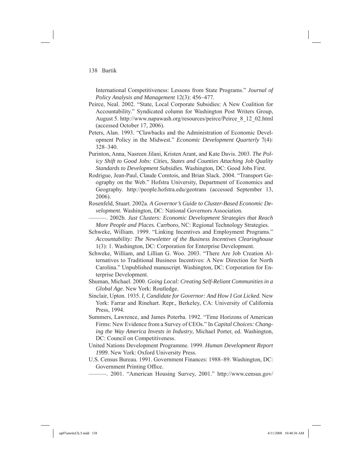International Competitiveness: Lessons from State Programs." *Journal of Policy Analysis and Management* 12(3): 456–477.

- Peirce, Neal. 2002. "State, Local Corporate Subsidies: A New Coalition for Accountability." Syndicated column for Washington Post Writers Group, August 5. http://www.napawash.org/resources/peirce/Peirce\_8\_12\_02.html (accessed October 17, 2006).
- Peters, Alan. 1993. "Clawbacks and the Administration of Economic Development Policy in the Midwest." *Economic Development Quarterly* 7(4): 328–340.
- Purinton, Anna, Nasreen Jilani, Kristen Arant, and Kate Davis. 2003. *The Policy Shift to Good Jobs: Cities, States and Counties Attaching Job Quality Standards to Development Subsidies.* Washington, DC: Good Jobs First.
- Rodrigue, Jean-Paul, Claude Comtois, and Brian Slack. 2004. "Transport Geography on the Web." Hofstra University, Department of Economics and Geography. http://people.hofstra.edu/geotrans (accessed September 13, 2006).
- Rosenfeld, Stuart. 2002a. *A Governor's Guide to Cluster-Based Economic Development.* Washington, DC: National Governors Association.
- ———. 2002b. *Just Clusters: Economic Development Strategies that Reach More People and Places.* Carrboro, NC: Regional Technology Strategies.
- Schweke, William. 1999. "Linking Incentives and Employment Programs." *Accountability: The Newsletter of the Business Incentives Clearinghouse* 1(3): 1. Washington, DC: Corporation for Enterprise Development.
- Schweke, William, and Lillian G. Woo. 2003. "There Are Job Creation Alternatives to Traditional Business Incentives: A New Direction for North Carolina." Unpublished manuscript. Washington, DC: Corporation for Enterprise Development.
- Shuman, Michael. 2000. *Going Local: Creating Self-Reliant Communities in a Global Age.* New York: Routledge.
- Sinclair, Upton. 1935. *I, Candidate for Governor: And How I Got Licked.* New York: Farrar and Rinehart. Repr., Berkeley, CA: University of California Press, 1994.
- Summers, Lawrence, and James Poterba. 1992. "Time Horizons of American Firms: New Evidence from a Survey of CEOs." In *Capital Choices: Changing the Way America Invests in Industry*, Michael Porter, ed. Washington, DC: Council on Competitiveness.
- United Nations Development Programme. 1999. *Human Development Report 1999*. New York: Oxford University Press.
- U.S. Census Bureau. 1991. Government Finances: 1988–89. Washington, DC: Government Printing Office.
	- ———. 2001. "American Housing Survey, 2001." http://www.census.gov/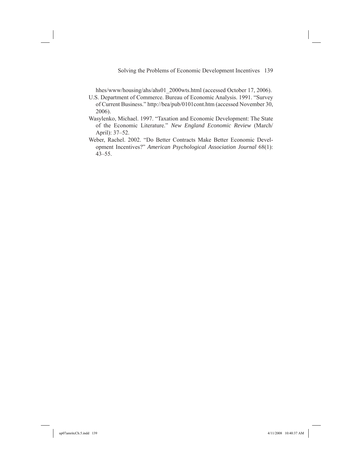hhes/www/housing/ahs/ahs01\_2000wts.html (accessed October 17, 2006).

- U.S. Department of Commerce. Bureau of Economic Analysis. 1991. "Survey of Current Business." http://bea/pub/0101cont.htm (accessed November 30, 2006).
- Wasylenko, Michael. 1997. "Taxation and Economic Development: The State of the Economic Literature." *New England Economic Review* (March/ April): 37–52.
- Weber, Rachel. 2002. "Do Better Contracts Make Better Economic Development Incentives?" *American Psychological Association Journal* 68(1): 43–55.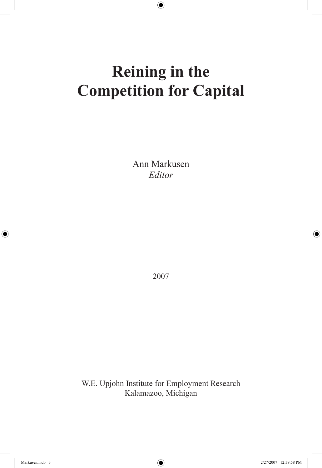# **Reining in the Competition for Capital**

Ann Markusen *Editor*

2007

W.E. Upjohn Institute for Employment Research Kalamazoo, Michigan